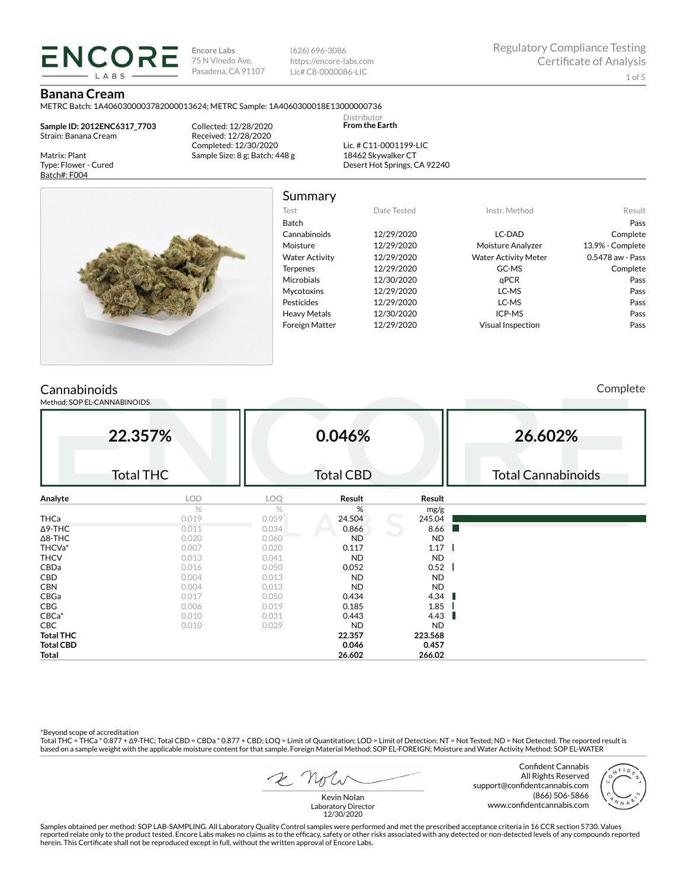**Encore Labs** 75 N Vinedo Ave. Pasadena, CA 91107

(626) 696-3086 https://encore-labs.com Lic# C8-0000086-LIC

Summary

Distributor **From the Earth**

# **Banana Cream**

METRC Batch: 1A4060300003782000013624; METRC Sample: 1A4060300018E13000000736

**Sample ID: 2012ENC6317\_7703** Strain: Banana Cream

**ENCORE IARS** 

Matrix: Plant Type: Flower - Cured Batch#: F004

Collected: 12/28/2020 Received: 12/28/2020 Completed: 12/30/2020 Sample Size: 8 g; Batch: 448 g

Lic. # C11-0001199-LIC 18462 Skywalker CT Desert Hot Springs, CA 92240



Test Date Tested Instr. Method Result Batch Pass Cannabinoids 12/29/2020 LC-DAD Complete Moisture 12/29/2020 Moisture Analyzer 13.9% - Complete Water Activity  $12/29/2020$  Water Activity Meter 0.5478 aw - Pass Terpenes 12/29/2020 GC-MS Complete Microbials 12/30/2020 **qPCR** Pass Mycotoxins 12/29/2020 LC-MS Pass Pesticides 12/29/2020 LC-MS Pass Heavy Metals 12/30/2020 ICP-MS Pass Foreign Matter 12/29/2020 Visual Inspection Pass

# **Cannabinoids**

Method: SOP EL-CANNABINOIDS

Complete

|                  | 22.357%          |       | 0.046%           |           | 26.602%                   |
|------------------|------------------|-------|------------------|-----------|---------------------------|
|                  | <b>Total THC</b> |       | <b>Total CBD</b> |           | <b>Total Cannabinoids</b> |
| Analyte          | LOD              | LOQ   | Result           | Result    |                           |
|                  | $\%$             | $\%$  | %                | mg/g      |                           |
| <b>THCa</b>      | 0.019            | 0.059 | 24.504           | 245.04    |                           |
| $\Delta$ 9-THC   | 0.011            | 0.034 | 0.866            | 8.66      |                           |
| $\Delta$ 8-THC   | 0.020            | 0.060 | <b>ND</b>        | <b>ND</b> |                           |
| THCVa*           | 0.007            | 0.020 | 0.117            | 1.17      |                           |
| <b>THCV</b>      | 0.013            | 0.041 | <b>ND</b>        | <b>ND</b> |                           |
| CBDa             | 0.016            | 0.050 | 0.052            | $0.52$    |                           |
| <b>CBD</b>       | 0.004            | 0.013 | <b>ND</b>        | <b>ND</b> |                           |
| <b>CBN</b>       | 0.004            | 0.013 | <b>ND</b>        | <b>ND</b> |                           |
| CBGa             | 0.017            | 0.050 | 0.434            | 4.34      |                           |
| CBG              | 0.006            | 0.019 | 0.185            | 1.85      |                           |
| $CBCa*$          | 0.010            | 0.031 | 0.443            | 4.43      |                           |
| CBC              | 0.010            | 0.029 | <b>ND</b>        | <b>ND</b> |                           |
| <b>Total THC</b> |                  |       | 22.357           | 223.568   |                           |
| <b>Total CBD</b> |                  |       | 0.046            | 0.457     |                           |
| Total            |                  |       | 26.602           | 266.02    |                           |

\*Beyond scope of accreditation

Total THC = THCa \* 0.877 + ∆9-THC; Total CBD = CBDa \* 0.877 + CBD; LOQ = Limit of Quantitation; LOD = Limit of Detection; NT = Not Tested; ND = Not Detected. The reported result is based on a sample weight with the applicable moisture content for that sample. Foreign Material Method: SOP EL-FOREIGN; Moisture and Water Activity Method: SOP EL-WATER

Confident Cannabis All Rights Reserved support@confidentcannabis.com (866) 506-5866 www.confidentcannabis.com



Kevin Nolan Laboratory Director 12/30/2020

Samples obtained per method: SOP LAB-SAMPLING. All Laboratory Quality Control samples were performed and met the prescribed acceptance criteria in 16 CCR section 5730. Values reported relate only to the product tested. Encore Labs makes no claims as to the efficacy, safety or other risks associated with any detected or non-detected levels of any compounds reported<br>herein. This Certificate shall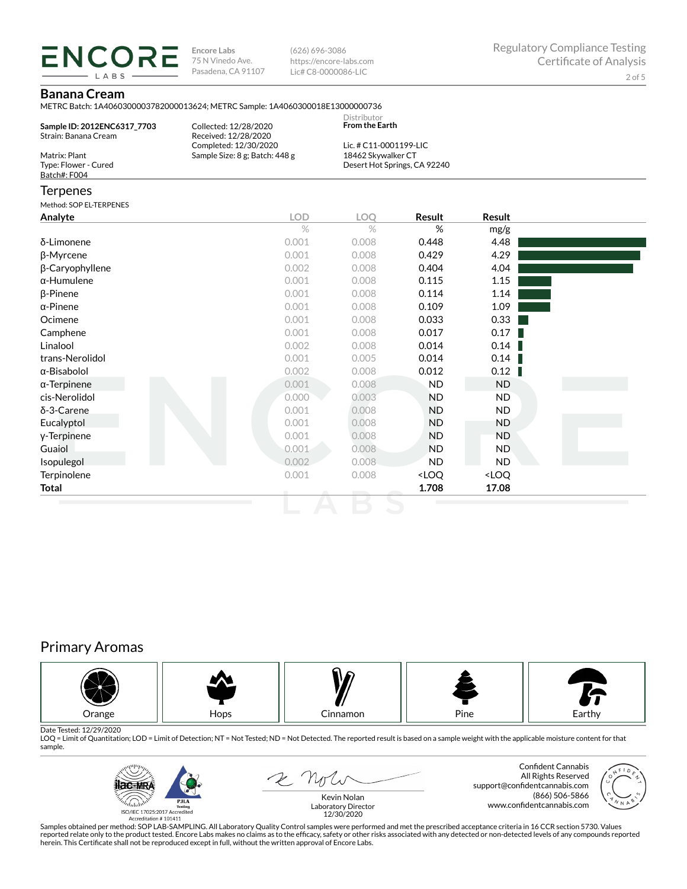**ENCORE Encore Labs** 75 N Vinedo Ave. Pasadena, CA 91107

(626) 696-3086 https://encore-labs.com Lic# C8-0000086-LIC

# **Banana Cream**

LABS

METRC Batch: 1A4060300003782000013624; METRC Sample: 1A4060300018E13000000736

|                             |                                | <b>Distributor</b>           |  |
|-----------------------------|--------------------------------|------------------------------|--|
| Sample ID: 2012ENC6317 7703 | Collected: 12/28/2020          | <b>From the Earth</b>        |  |
| Strain: Banana Cream        | Received: 12/28/2020           |                              |  |
|                             | Completed: 12/30/2020          | Lic. # C11-0001199-LIC       |  |
| Matrix: Plant               | Sample Size: 8 g; Batch: 448 g | 18462 Skywalker CT           |  |
| Type: Flower - Cured        |                                | Desert Hot Springs, CA 92240 |  |
| Batch#: F004                |                                |                              |  |
|                             |                                |                              |  |

# Terpenes

Method: COREL TERRENES

| METHOG: SUP EL-TERPENES |            |       |                                                          |                              |  |
|-------------------------|------------|-------|----------------------------------------------------------|------------------------------|--|
| Analyte                 | <b>LOD</b> | LOQ   | Result                                                   | Result                       |  |
|                         | $\%$       | $\%$  | %                                                        | mg/g                         |  |
| δ-Limonene              | 0.001      | 0.008 | 0.448                                                    | 4.48                         |  |
| β-Myrcene               | 0.001      | 0.008 | 0.429                                                    | 4.29                         |  |
| β-Caryophyllene         | 0.002      | 0.008 | 0.404                                                    | 4.04                         |  |
| $\alpha$ -Humulene      | 0.001      | 0.008 | 0.115                                                    | 1.15                         |  |
| $\beta$ -Pinene         | 0.001      | 0.008 | 0.114                                                    | 1.14                         |  |
| $\alpha$ -Pinene        | 0.001      | 0.008 | 0.109                                                    | 1.09                         |  |
| Ocimene                 | 0.001      | 0.008 | 0.033                                                    | 0.33                         |  |
| Camphene                | 0.001      | 0.008 | 0.017                                                    | 0.17                         |  |
| Linalool                | 0.002      | 0.008 | 0.014                                                    | 0.14                         |  |
| trans-Nerolidol         | 0.001      | 0.005 | 0.014                                                    | 0.14                         |  |
| $\alpha$ -Bisabolol     | 0.002      | 0.008 | 0.012                                                    | 0.12                         |  |
| $\alpha$ -Terpinene     | 0.001      | 0.008 | <b>ND</b>                                                | ND.                          |  |
| cis-Nerolidol           | 0.000      | 0.003 | <b>ND</b>                                                | ND.                          |  |
| δ-3-Carene              | 0.001      | 0.008 | <b>ND</b>                                                | ND.                          |  |
| Eucalyptol              | 0.001      | 0.008 | <b>ND</b>                                                | ND                           |  |
| y-Terpinene             | 0.001      | 0.008 | <b>ND</b>                                                | ND                           |  |
| Guaiol                  | 0.001      | 0.008 | <b>ND</b>                                                | ND.                          |  |
| Isopulegol              | 0.002      | 0.008 | <b>ND</b>                                                | ND                           |  |
| Terpinolene             | 0.001      | 0.008 | <loq< td=""><td><loq< td=""><td></td></loq<></td></loq<> | <loq< td=""><td></td></loq<> |  |
| Total                   |            |       | 1.708                                                    | 17.08                        |  |
|                         |            |       |                                                          |                              |  |

# Primary Aromas



Date Tested: 12/29/2020<br>LOQ = Limit of Quantitation; LOD = Limit of Detection; NT = Not Tested; ND = Not Detected. The reported result is based on a sample weight with the applicable moisture content for that sample.



2 Not

Confident Cannabis All Rights Reserved support@confidentcannabis.com (866) 506-5866 www.confidentcannabis.com



Kevin Nolan Laboratory Director 12/30/2020

Samples obtained per method: SOP LAB-SAMPLING. All Laboratory Quality Control samples were performed and met the prescribed acceptance criteria in 16 CCR section 5730. Values reported relate only to the product tested. Encore Labs makes no claims as to the efficacy, safety or other risks associated with any detected or non-detected levels of any compounds reported<br>herein. This Certificate shall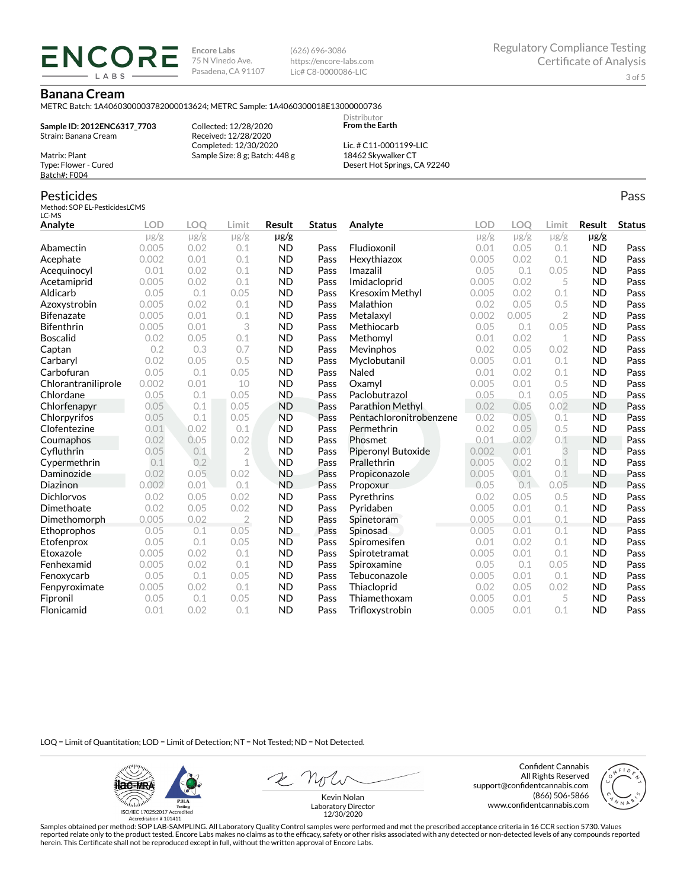**Encore Labs** 75 N Vinedo Ave. Pasadena, CA 91107 (626) 696-3086 https://encore-labs.com Lic# C8-0000086-LIC

> Distributor **From the Earth**

### **Banana Cream**

Matrix: Plant Type: Flower - Cured Batch#: F004

Pesticides

METRC Batch: 1A4060300003782000013624; METRC Sample: 1A4060300018E13000000736

**Sample ID: 2012ENC6317\_7703** Strain: Banana Cream

ENCORE **IARS** 

> Collected: 12/28/2020 Received: 12/28/2020 Completed: 12/30/2020 Sample Size: 8 g; Batch: 448 g

Lic. # C11-0001199-LIC 18462 Skywalker CT Desert Hot Springs, CA 92240

#### Method: SOP EL-PesticidesLCMS LC-MS **Analyte LOD LOQ Limit Result Status**  $\mu$ g/g  $\mu$ g/g  $\mu$ g/g  $\mu$ g/g Abamectin 0.005 0.02 0.1 ND Pass Acephate 0.002 0.01 0.1 ND Pass Acequinocyl 0.01 0.02 0.1 ND Pass Acetamiprid 0.005 0.02 0.1 ND Pass Aldicarb 0.05 0.1 0.05 ND Pass Azoxystrobin 0.005 0.02 0.1 ND Pass Bifenazate 0.005 0.01 0.1 ND Pass Bifenthrin 0.005 0.01 3 ND Pass Boscalid 0.02 0.05 0.1 ND Pass **Captan 12 0.2 0.3 0.7 ND Pass Carbaryl 0.02 0.05 0.5 ND Pass** Carbofuran 0.05 0.1 0.05 ND Pass Chlorantraniliprole 0.002 0.01 10 ND Pass Chlordane 0.05 0.1 0.05 ND Pass Chlorfenapyr 0.05 0.1 0.05 ND Pass Chlorpyrifos 0.05 0.1 0.05 ND Pass Clofentezine 0.01 0.02 0.1 ND Pass Coumaphos 0.02 0.05 0.02 ND Pass Cyfluthrin 0.05 0.1 2 ND Pass Cypermethrin 0.1 0.2 1 ND Pass Daminozide 0.02 0.05 0.02 ND Pass **Diazinon** 0.002 0.01 0.1 ND Pass Dichlorvos 0.02 0.05 0.02 ND Pass Dimethoate 0.02 0.05 0.02 ND Pass Dimethomorph 0.005 0.02 2 ND Pass Ethoprophos 0.05 0.1 0.05 ND Pass Etofenprox 0.05 0.1 0.05 ND Pass Etoxazole 0.005 0.02 0.1 ND Pass Fenhexamid 0.005 0.02 0.1 ND Pass Fenoxycarb 0.05 0.1 0.05 ND Pass Fenpyroximate 0.005 0.02 0.1 ND Pass Fipronil 0.05 0.1 0.05 ND Pass Flonicamid 0.01 0.02 0.1 ND Pass **Analyte LOD LOQ Limit Result Status**  $\mu$ g/g  $\mu$ g/g  $\mu$ g/g  $\mu$ g/g Fludioxonil 0.01 0.05 0.1 ND Pass Hexythiazox 0.005 0.02 0.1 ND Pass **Imazalil 11 0.05 0.1 0.05 ND Pass** Imidacloprid 0.005 0.02 5 ND Pass Kresoxim Methyl  $0.005$  0.02 0.1 ND Pass **Malathion** 0.02 0.05 0.5 **ND Pass** Metalaxyl 0.002 0.005 2 ND Pass Methiocarb 0.05 0.1 0.05 ND Pass **Methomyl** 0.01 0.02 1 **ND Pass** Mevinphos 0.02 0.05 0.02 ND Pass Myclobutanil 0.005 0.01 0.1 ND Pass **Naled 1200 0.01 0.02 0.1 ND Pass Oxamyl** 0.005 0.01 0.5 **ND Pass** Paclobutrazol 0.05 0.1 0.05 ND Pass Parathion Methyl 0.02 0.05 0.02 ND Pass Pentachloronitrobenzene 0.02 0.05 0.1 ND Pass Permethrin 0.02 0.05 0.5 ND Pass Phosmet 0.01 0.02 0.1 ND Pass Piperonyl Butoxide 0.002 0.01 3 ND Pass Prallethrin 0.005 0.02 0.1 ND Pass Propiconazole 0.005 0.01 0.1 ND Pass **Propoxur 1988 0.05 0.1 0.05 ND Pass Pyrethrins 0.02 0.05 0.5 ND Pass Pyridaben 1988 0.005 0.01 0.1 ND Pass Spinetoram 0.005 0.01 0.1 ND Pass** Spinosad 0.005 0.01 0.1 ND Pass Spiromesifen 0.01 0.02 0.1 ND Pass Spirotetramat 0.005 0.01 0.1 ND Pass Spiroxamine 0.05 0.1 0.05 ND Pass Tebuconazole 0.005 0.01 0.1 ND Pass Thiacloprid 0.02 0.05 0.02 ND Pass Thiamethoxam 0.005 0.01 5 ND Pass Trifloxystrobin 0.005 0.01 0.1 ND Pass

LOQ = Limit of Quantitation; LOD = Limit of Detection; NT = Not Tested; ND = Not Detected.

**ilac-MRA P.ILA** أيطيبك ISO/IEC 17025:2017 Ac

Accreditation #101411

Z Noli

Confident Cannabis All Rights Reserved support@confidentcannabis.com (866) 506-5866 www.confidentcannabis.com



Kevin Nolan Laboratory Director 12/30/2020

Samples obtained per method: SOP LAB-SAMPLING. All Laboratory Quality Control samples were performed and met the prescribed acceptance criteria in 16 CCR section 5730. Values reported relate only to the product tested. Encore Labs makes no claims as to the efficacy, safety or other risks associated with any detected or non-detected levels of any compounds reported herein. This Certificate shall not be reproduced except in full, without the written approval of Encore Labs.

Pass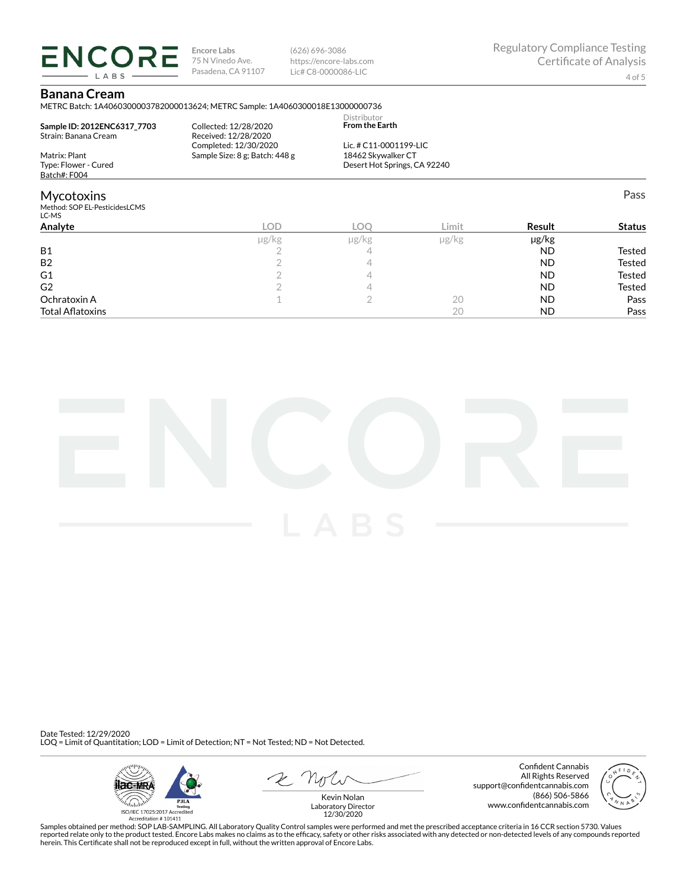**ENCORE** LABS

**Encore Labs** 75 N Vinedo Ave. Pasadena, CA 91107

(626) 696-3086 https://encore-labs.com Lic# C8-0000086-LIC

# **Banana Cream**

METRC Batch: 1A4060300003782000013624; METRC Sample: 1A4060300018E13000000736

| Analyte                                                     | <b>LOD</b>                                              | LOO                                          | Limit | Result | <b>Status</b> |
|-------------------------------------------------------------|---------------------------------------------------------|----------------------------------------------|-------|--------|---------------|
| <b>Mycotoxins</b><br>Method: SOP EL-PesticidesLCMS<br>LC-MS |                                                         |                                              |       |        | Pass          |
| Type: Flower - Cured<br>Batch#: F004                        |                                                         | Desert Hot Springs, CA 92240                 |       |        |               |
| Matrix: Plant                                               | Completed: 12/30/2020<br>Sample Size: 8 g; Batch: 448 g | Lic. # C11-0001199-LIC<br>18462 Skywalker CT |       |        |               |
| Sample ID: 2012ENC6317 7703<br>Strain: Banana Cream         | Collected: 12/28/2020<br>Received: 12/28/2020           | Distributor<br><b>From the Earth</b>         |       |        |               |

|                         | µg/kg | µg/kg | µg/kg | µg/kg     |               |
|-------------------------|-------|-------|-------|-----------|---------------|
| <b>B1</b>               |       | ⊷     |       | <b>ND</b> | Tested        |
| B <sub>2</sub>          |       |       |       | <b>ND</b> | <b>Tested</b> |
| G1                      |       |       |       | <b>ND</b> | Tested        |
| G <sub>2</sub>          |       |       |       | <b>ND</b> | Tested        |
| Ochratoxin A            |       |       | 20    | <b>ND</b> | Pass          |
| <b>Total Aflatoxins</b> |       |       | 20    | <b>ND</b> | Pass          |



Date Tested: 12/29/2020 LOQ = Limit of Quantitation; LOD = Limit of Detection; NT = Not Tested; ND = Not Detected.



Confident Cannabis All Rights Reserved support@confidentcannabis.com (866) 506-5866 www.confidentcannabis.com



Kevin Nolan Laboratory Director 12/30/2020

Samples obtained per method: SOP LAB-SAMPLING. All Laboratory Quality Control samples were performed and met the prescribed acceptance criteria in 16 CCR section 5730. Values reported relate only to the product tested. Encore Labs makes no claims as to the efficacy, safety or other risks associated with any detected or non-detected levels of any compounds reported<br>herein. This Certificate shall